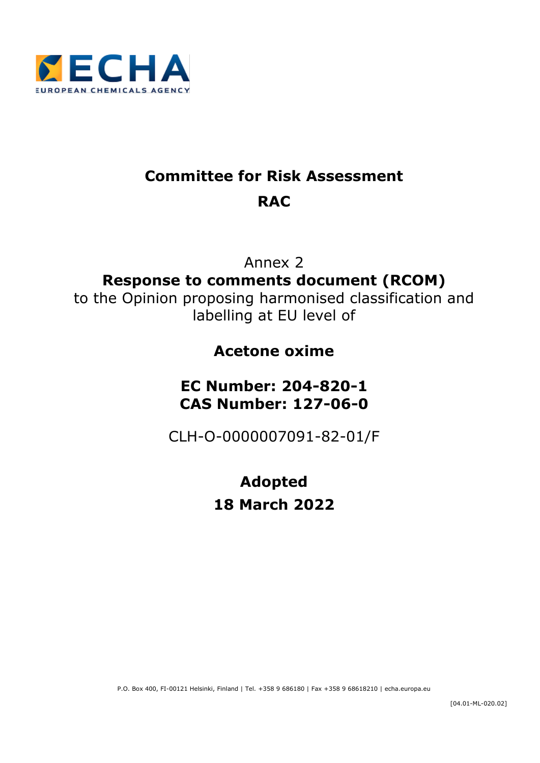

# **Committee for Risk Assessment RAC**

Annex 2 **Response to comments document (RCOM)** to the Opinion proposing harmonised classification and labelling at EU level of

# **Acetone oxime**

# **EC Number: 204-820-1 CAS Number: 127-06-0**

CLH-O-0000007091-82-01/F

# **Adopted 18 March 2022**

P.O. Box 400, FI-00121 Helsinki, Finland | Tel. +358 9 686180 | Fax +358 9 68618210 | echa.europa.eu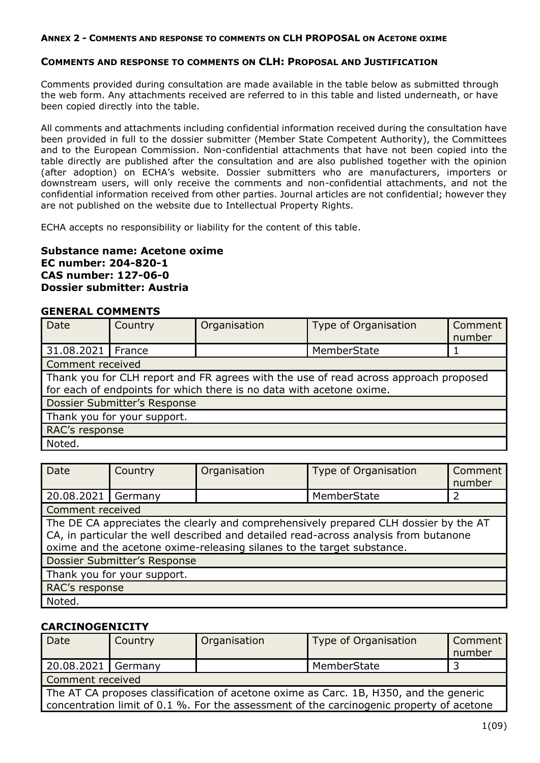#### **COMMENTS AND RESPONSE TO COMMENTS ON CLH: PROPOSAL AND JUSTIFICATION**

Comments provided during consultation are made available in the table below as submitted through the web form. Any attachments received are referred to in this table and listed underneath, or have been copied directly into the table.

All comments and attachments including confidential information received during the consultation have been provided in full to the dossier submitter (Member State Competent Authority), the Committees and to the European Commission. Non-confidential attachments that have not been copied into the table directly are published after the consultation and are also published together with the opinion (after adoption) on ECHA's website. Dossier submitters who are manufacturers, importers or downstream users, will only receive the comments and non-confidential attachments, and not the confidential information received from other parties. Journal articles are not confidential; however they are not published on the website due to Intellectual Property Rights.

ECHA accepts no responsibility or liability for the content of this table.

#### **Substance name: Acetone oxime EC number: 204-820-1 CAS number: 127-06-0 Dossier submitter: Austria**

#### **GENERAL COMMENTS**

| <b>Date</b>                 | Country                                                                                                                                                      | Organisation | Type of Organisation | Comment<br>number |  |
|-----------------------------|--------------------------------------------------------------------------------------------------------------------------------------------------------------|--------------|----------------------|-------------------|--|
| 31.08.2021   France         |                                                                                                                                                              |              | MemberState          |                   |  |
| Comment received            |                                                                                                                                                              |              |                      |                   |  |
|                             | Thank you for CLH report and FR agrees with the use of read across approach proposed<br>for each of endpoints for which there is no data with acetone oxime. |              |                      |                   |  |
|                             | Dossier Submitter's Response                                                                                                                                 |              |                      |                   |  |
| Thank you for your support. |                                                                                                                                                              |              |                      |                   |  |
| RAC's response              |                                                                                                                                                              |              |                      |                   |  |
| Noted.                      |                                                                                                                                                              |              |                      |                   |  |

| Date                                                                                                                                                                                                                                                   | Country                             | Organisation | Type of Organisation | Comment<br>number |
|--------------------------------------------------------------------------------------------------------------------------------------------------------------------------------------------------------------------------------------------------------|-------------------------------------|--------------|----------------------|-------------------|
| 20.08.2021                                                                                                                                                                                                                                             | Germany                             |              | MemberState          |                   |
| Comment received                                                                                                                                                                                                                                       |                                     |              |                      |                   |
| The DE CA appreciates the clearly and comprehensively prepared CLH dossier by the AT<br>CA, in particular the well described and detailed read-across analysis from butanone<br>oxime and the acetone oxime-releasing silanes to the target substance. |                                     |              |                      |                   |
|                                                                                                                                                                                                                                                        | <b>Dossier Submitter's Response</b> |              |                      |                   |
| Thank you for your support.                                                                                                                                                                                                                            |                                     |              |                      |                   |
| RAC's response                                                                                                                                                                                                                                         |                                     |              |                      |                   |
| Noted.                                                                                                                                                                                                                                                 |                                     |              |                      |                   |

### **CARCINOGENICITY**

| Date                                                                                                                                                                              | Country          | Organisation | Type of Organisation | Comment<br>number |  |
|-----------------------------------------------------------------------------------------------------------------------------------------------------------------------------------|------------------|--------------|----------------------|-------------------|--|
| 20.08.2021 Germany                                                                                                                                                                |                  |              | MemberState          |                   |  |
|                                                                                                                                                                                   | Comment received |              |                      |                   |  |
| The AT CA proposes classification of acetone oxime as Carc. 1B, H350, and the generic<br>concentration limit of 0.1 %. For the assessment of the carcinogenic property of acetone |                  |              |                      |                   |  |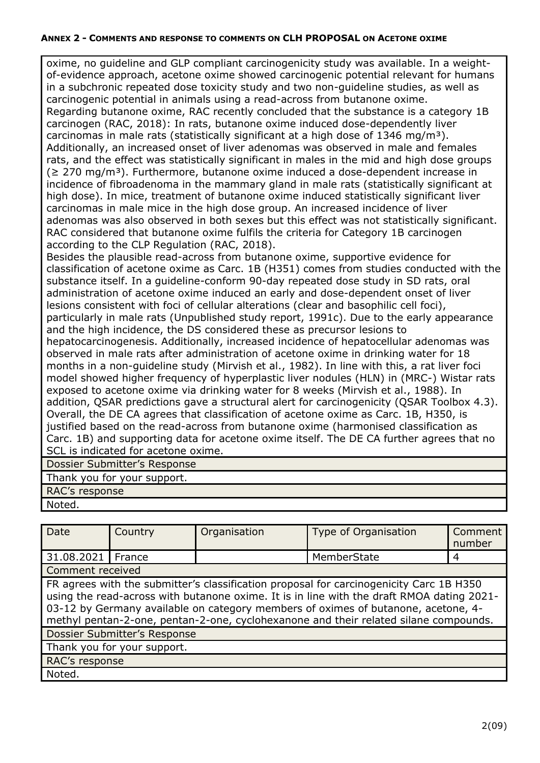oxime, no guideline and GLP compliant carcinogenicity study was available. In a weightof-evidence approach, acetone oxime showed carcinogenic potential relevant for humans in a subchronic repeated dose toxicity study and two non-guideline studies, as well as carcinogenic potential in animals using a read-across from butanone oxime. Regarding butanone oxime, RAC recently concluded that the substance is a category 1B carcinogen (RAC, 2018): In rats, butanone oxime induced dose-dependently liver carcinomas in male rats (statistically significant at a high dose of 1346 mg/m<sup>3</sup>). Additionally, an increased onset of liver adenomas was observed in male and females rats, and the effect was statistically significant in males in the mid and high dose groups  $(2270 \text{ mg/m}^3)$ . Furthermore, butanone oxime induced a dose-dependent increase in incidence of fibroadenoma in the mammary gland in male rats (statistically significant at high dose). In mice, treatment of butanone oxime induced statistically significant liver carcinomas in male mice in the high dose group. An increased incidence of liver adenomas was also observed in both sexes but this effect was not statistically significant. RAC considered that butanone oxime fulfils the criteria for Category 1B carcinogen according to the CLP Regulation (RAC, 2018).

Besides the plausible read-across from butanone oxime, supportive evidence for classification of acetone oxime as Carc. 1B (H351) comes from studies conducted with the substance itself. In a guideline-conform 90-day repeated dose study in SD rats, oral administration of acetone oxime induced an early and dose-dependent onset of liver lesions consistent with foci of cellular alterations (clear and basophilic cell foci), particularly in male rats (Unpublished study report, 1991c). Due to the early appearance and the high incidence, the DS considered these as precursor lesions to hepatocarcinogenesis. Additionally, increased incidence of hepatocellular adenomas was observed in male rats after administration of acetone oxime in drinking water for 18 months in a non-guideline study (Mirvish et al., 1982). In line with this, a rat liver foci model showed higher frequency of hyperplastic liver nodules (HLN) in (MRC-) Wistar rats exposed to acetone oxime via drinking water for 8 weeks (Mirvish et al., 1988). In addition, QSAR predictions gave a structural alert for carcinogenicity (QSAR Toolbox 4.3). Overall, the DE CA agrees that classification of acetone oxime as Carc. 1B, H350, is justified based on the read-across from butanone oxime (harmonised classification as Carc. 1B) and supporting data for acetone oxime itself. The DE CA further agrees that no SCL is indicated for acetone oxime.

Dossier Submitter's Response

Thank you for your support.

RAC's response

Noted.

| Date                                                                                                                                                                                                                                                                                                                                                              | Country                      | Organisation | Type of Organisation | Comment<br>number |  |
|-------------------------------------------------------------------------------------------------------------------------------------------------------------------------------------------------------------------------------------------------------------------------------------------------------------------------------------------------------------------|------------------------------|--------------|----------------------|-------------------|--|
| 31.08.2021   France                                                                                                                                                                                                                                                                                                                                               |                              |              | MemberState          | 4                 |  |
| Comment received                                                                                                                                                                                                                                                                                                                                                  |                              |              |                      |                   |  |
| FR agrees with the submitter's classification proposal for carcinogenicity Carc 1B H350<br>using the read-across with butanone oxime. It is in line with the draft RMOA dating 2021-<br>03-12 by Germany available on category members of oximes of butanone, acetone, 4-<br>methyl pentan-2-one, pentan-2-one, cyclohexanone and their related silane compounds. |                              |              |                      |                   |  |
|                                                                                                                                                                                                                                                                                                                                                                   | Dossier Submitter's Response |              |                      |                   |  |
| Thank you for your support.                                                                                                                                                                                                                                                                                                                                       |                              |              |                      |                   |  |
| RAC's response                                                                                                                                                                                                                                                                                                                                                    |                              |              |                      |                   |  |
| Noted.                                                                                                                                                                                                                                                                                                                                                            |                              |              |                      |                   |  |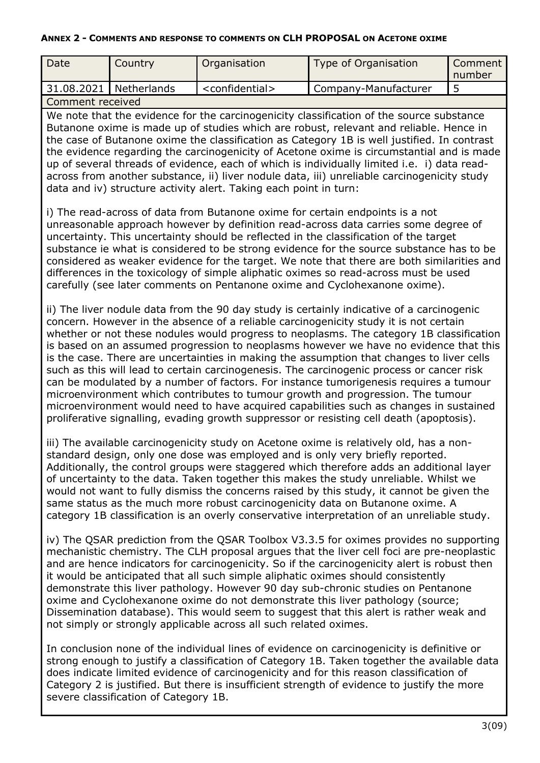| Date                                                                                                                                                                                                                                                                                                                                                                                                                                                                                                                                                                                                                                                                                                                                                                                                                                          | Country                                                                                                                                                                                                                                                                                                                                                                                                                                                              | Organisation                  | <b>Type of Organisation</b> | Comment<br>number |  |  |
|-----------------------------------------------------------------------------------------------------------------------------------------------------------------------------------------------------------------------------------------------------------------------------------------------------------------------------------------------------------------------------------------------------------------------------------------------------------------------------------------------------------------------------------------------------------------------------------------------------------------------------------------------------------------------------------------------------------------------------------------------------------------------------------------------------------------------------------------------|----------------------------------------------------------------------------------------------------------------------------------------------------------------------------------------------------------------------------------------------------------------------------------------------------------------------------------------------------------------------------------------------------------------------------------------------------------------------|-------------------------------|-----------------------------|-------------------|--|--|
| 31.08.2021                                                                                                                                                                                                                                                                                                                                                                                                                                                                                                                                                                                                                                                                                                                                                                                                                                    | Netherlands                                                                                                                                                                                                                                                                                                                                                                                                                                                          | <confidential></confidential> | Company-Manufacturer        | 5                 |  |  |
|                                                                                                                                                                                                                                                                                                                                                                                                                                                                                                                                                                                                                                                                                                                                                                                                                                               |                                                                                                                                                                                                                                                                                                                                                                                                                                                                      |                               |                             |                   |  |  |
| Comment received<br>We note that the evidence for the carcinogenicity classification of the source substance<br>Butanone oxime is made up of studies which are robust, relevant and reliable. Hence in<br>the case of Butanone oxime the classification as Category 1B is well justified. In contrast<br>the evidence regarding the carcinogenicity of Acetone oxime is circumstantial and is made<br>up of several threads of evidence, each of which is individually limited i.e. i) data read-<br>across from another substance, ii) liver nodule data, iii) unreliable carcinogenicity study<br>data and iv) structure activity alert. Taking each point in turn:<br>i) The read-across of data from Butanone oxime for certain endpoints is a not<br>unreasonable approach however by definition read-across data carries some degree of |                                                                                                                                                                                                                                                                                                                                                                                                                                                                      |                               |                             |                   |  |  |
| uncertainty. This uncertainty should be reflected in the classification of the target<br>substance ie what is considered to be strong evidence for the source substance has to be<br>considered as weaker evidence for the target. We note that there are both similarities and<br>differences in the toxicology of simple aliphatic oximes so read-across must be used<br>carefully (see later comments on Pentanone oxime and Cyclohexanone oxime).                                                                                                                                                                                                                                                                                                                                                                                         |                                                                                                                                                                                                                                                                                                                                                                                                                                                                      |                               |                             |                   |  |  |
| such as this will lead to certain carcinogenesis. The carcinogenic process or cancer risk                                                                                                                                                                                                                                                                                                                                                                                                                                                                                                                                                                                                                                                                                                                                                     | ii) The liver nodule data from the 90 day study is certainly indicative of a carcinogenic<br>concern. However in the absence of a reliable carcinogenicity study it is not certain<br>whether or not these nodules would progress to neoplasms. The category 1B classification<br>is based on an assumed progression to neoplasms however we have no evidence that this<br>is the case. There are uncertainties in making the assumption that changes to liver cells |                               |                             |                   |  |  |

such as this will lead to certain carcinogenesis. The carcinogenic process or cancer risk can be modulated by a number of factors. For instance tumorigenesis requires a tumour microenvironment which contributes to tumour growth and progression. The tumour microenvironment would need to have acquired capabilities such as changes in sustained proliferative signalling, evading growth suppressor or resisting cell death (apoptosis).

iii) The available carcinogenicity study on Acetone oxime is relatively old, has a nonstandard design, only one dose was employed and is only very briefly reported. Additionally, the control groups were staggered which therefore adds an additional layer of uncertainty to the data. Taken together this makes the study unreliable. Whilst we would not want to fully dismiss the concerns raised by this study, it cannot be given the same status as the much more robust carcinogenicity data on Butanone oxime. A category 1B classification is an overly conservative interpretation of an unreliable study.

iv) The QSAR prediction from the QSAR Toolbox V3.3.5 for oximes provides no supporting mechanistic chemistry. The CLH proposal argues that the liver cell foci are pre-neoplastic and are hence indicators for carcinogenicity. So if the carcinogenicity alert is robust then it would be anticipated that all such simple aliphatic oximes should consistently demonstrate this liver pathology. However 90 day sub-chronic studies on Pentanone oxime and Cyclohexanone oxime do not demonstrate this liver pathology (source; Dissemination database). This would seem to suggest that this alert is rather weak and not simply or strongly applicable across all such related oximes.

In conclusion none of the individual lines of evidence on carcinogenicity is definitive or strong enough to justify a classification of Category 1B. Taken together the available data does indicate limited evidence of carcinogenicity and for this reason classification of Category 2 is justified. But there is insufficient strength of evidence to justify the more severe classification of Category 1B.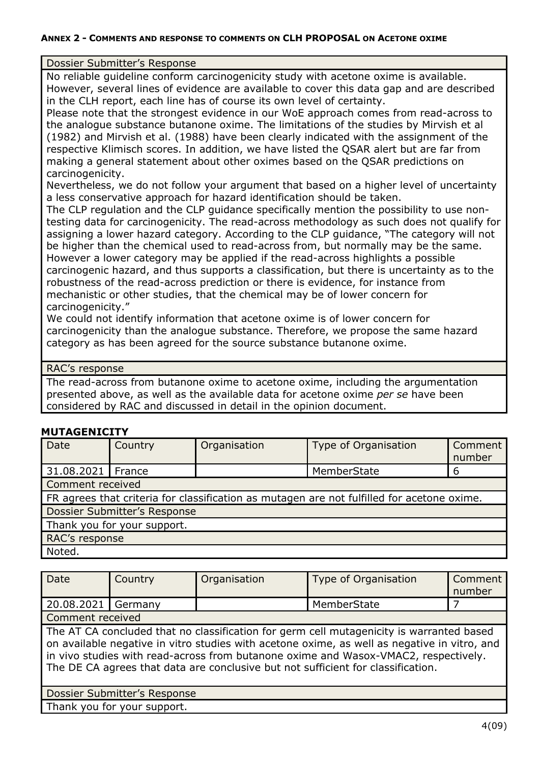#### Dossier Submitter's Response

No reliable guideline conform carcinogenicity study with acetone oxime is available. However, several lines of evidence are available to cover this data gap and are described in the CLH report, each line has of course its own level of certainty.

Please note that the strongest evidence in our WoE approach comes from read-across to the analogue substance butanone oxime. The limitations of the studies by Mirvish et al (1982) and Mirvish et al. (1988) have been clearly indicated with the assignment of the respective Klimisch scores. In addition, we have listed the QSAR alert but are far from making a general statement about other oximes based on the QSAR predictions on carcinogenicity.

Nevertheless, we do not follow your argument that based on a higher level of uncertainty a less conservative approach for hazard identification should be taken.

The CLP regulation and the CLP guidance specifically mention the possibility to use nontesting data for carcinogenicity. The read-across methodology as such does not qualify for assigning a lower hazard category. According to the CLP guidance, "The category will not be higher than the chemical used to read-across from, but normally may be the same. However a lower category may be applied if the read-across highlights a possible carcinogenic hazard, and thus supports a classification, but there is uncertainty as to the robustness of the read-across prediction or there is evidence, for instance from mechanistic or other studies, that the chemical may be of lower concern for carcinogenicity."

We could not identify information that acetone oxime is of lower concern for carcinogenicity than the analogue substance. Therefore, we propose the same hazard category as has been agreed for the source substance butanone oxime.

#### RAC's response

The read-across from butanone oxime to acetone oxime, including the argumentation presented above, as well as the available data for acetone oxime *per se* have been considered by RAC and discussed in detail in the opinion document.

### **MUTAGENICITY**

| <b>Date</b>         | Country                      | Organisation | Type of Organisation                                                                       | Comment<br>number |  |
|---------------------|------------------------------|--------------|--------------------------------------------------------------------------------------------|-------------------|--|
| 31.08.2021   France |                              |              | MemberState                                                                                | 6                 |  |
| Comment received    |                              |              |                                                                                            |                   |  |
|                     |                              |              | FR agrees that criteria for classification as mutagen are not fulfilled for acetone oxime. |                   |  |
|                     | Dossier Submitter's Response |              |                                                                                            |                   |  |
|                     | Thank you for your support.  |              |                                                                                            |                   |  |
| RAC's response      |                              |              |                                                                                            |                   |  |
| Noted.              |                              |              |                                                                                            |                   |  |

| Date             | Country | Organisation | Type of Organisation | Comment<br>number |
|------------------|---------|--------------|----------------------|-------------------|
| 20.08.2021       | Germany |              | MemberState          |                   |
| Comment received |         |              |                      |                   |

The AT CA concluded that no classification for germ cell mutagenicity is warranted based on available negative in vitro studies with acetone oxime, as well as negative in vitro, and in vivo studies with read-across from butanone oxime and Wasox-VMAC2, respectively. The DE CA agrees that data are conclusive but not sufficient for classification.

Dossier Submitter's Response

Thank you for your support.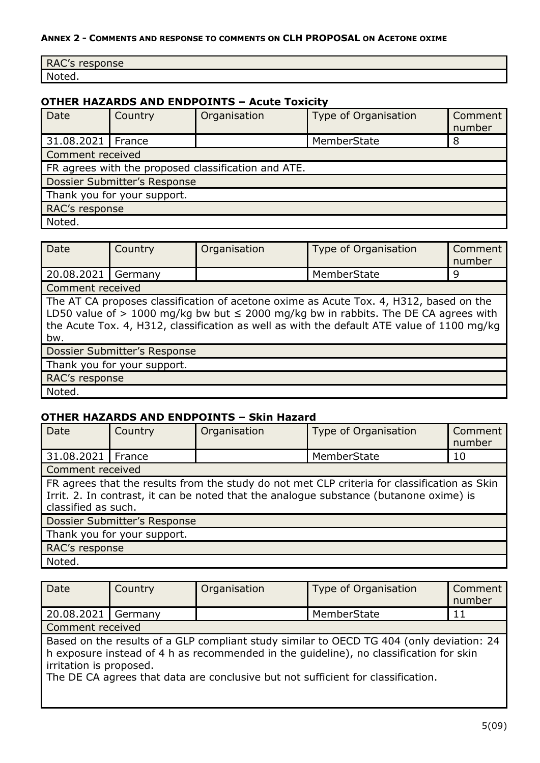| RAC's I<br>response |
|---------------------|
| Noted.              |

## **OTHER HAZARDS AND ENDPOINTS – Acute Toxicity**

| Date                | Country                      | Organisation                                        | Type of Organisation | Comment<br>number |  |
|---------------------|------------------------------|-----------------------------------------------------|----------------------|-------------------|--|
| 31.08.2021   France |                              |                                                     | MemberState          | 8                 |  |
| Comment received    |                              |                                                     |                      |                   |  |
|                     |                              | FR agrees with the proposed classification and ATE. |                      |                   |  |
|                     | Dossier Submitter's Response |                                                     |                      |                   |  |
|                     | Thank you for your support.  |                                                     |                      |                   |  |
| RAC's response      |                              |                                                     |                      |                   |  |
| Noted.              |                              |                                                     |                      |                   |  |

| <b>Date</b>                                                                                                                                                                                                                                                                               | Country                      | Organisation | Type of Organisation | Comment<br>number |
|-------------------------------------------------------------------------------------------------------------------------------------------------------------------------------------------------------------------------------------------------------------------------------------------|------------------------------|--------------|----------------------|-------------------|
| 20.08.2021   Germany                                                                                                                                                                                                                                                                      |                              |              | MemberState          | 9                 |
| Comment received                                                                                                                                                                                                                                                                          |                              |              |                      |                   |
| The AT CA proposes classification of acetone oxime as Acute Tox. 4, H312, based on the<br>LD50 value of $> 1000$ mg/kg bw but $\leq 2000$ mg/kg bw in rabbits. The DE CA agrees with<br>the Acute Tox. 4, H312, classification as well as with the default ATE value of 1100 mg/kg<br>bw. |                              |              |                      |                   |
|                                                                                                                                                                                                                                                                                           | Dossier Submitter's Response |              |                      |                   |
| Thank you for your support.                                                                                                                                                                                                                                                               |                              |              |                      |                   |
| RAC's response                                                                                                                                                                                                                                                                            |                              |              |                      |                   |
| Noted.                                                                                                                                                                                                                                                                                    |                              |              |                      |                   |

# **OTHER HAZARDS AND ENDPOINTS – Skin Hazard**

| <b>Date</b>                 | Country                                                                                                                                                                                                       | Organisation | Type of Organisation | Comment<br>number |  |
|-----------------------------|---------------------------------------------------------------------------------------------------------------------------------------------------------------------------------------------------------------|--------------|----------------------|-------------------|--|
| 31.08.2021                  | France                                                                                                                                                                                                        |              | MemberState          | 10                |  |
| Comment received            |                                                                                                                                                                                                               |              |                      |                   |  |
|                             | FR agrees that the results from the study do not met CLP criteria for classification as Skin<br>Irrit. 2. In contrast, it can be noted that the analogue substance (butanone oxime) is<br>classified as such. |              |                      |                   |  |
|                             | Dossier Submitter's Response                                                                                                                                                                                  |              |                      |                   |  |
| Thank you for your support. |                                                                                                                                                                                                               |              |                      |                   |  |
| RAC's response              |                                                                                                                                                                                                               |              |                      |                   |  |
| Noted.                      |                                                                                                                                                                                                               |              |                      |                   |  |

| Date                    | Country | Organisation | <b>Type of Organisation</b>                                                                                                                                                                                                                                            | Comment<br>number |
|-------------------------|---------|--------------|------------------------------------------------------------------------------------------------------------------------------------------------------------------------------------------------------------------------------------------------------------------------|-------------------|
| 20.08.2021   Germany    |         |              | MemberState                                                                                                                                                                                                                                                            | 11                |
| Comment received        |         |              |                                                                                                                                                                                                                                                                        |                   |
| irritation is proposed. |         |              | Based on the results of a GLP compliant study similar to OECD TG 404 (only deviation: 24<br>h exposure instead of 4 h as recommended in the guideline), no classification for skin<br>The DE CA agrees that data are conclusive but not sufficient for classification. |                   |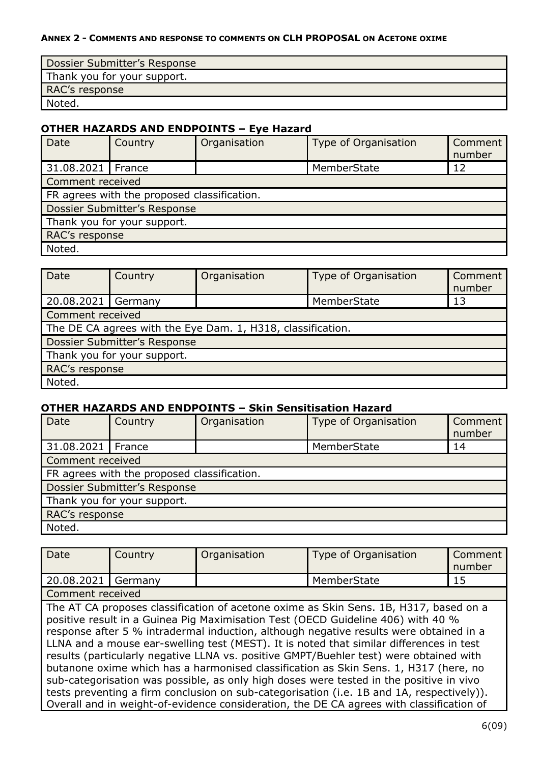| Dossier Submitter's Response |
|------------------------------|
| Thank you for your support.  |
| RAC's response               |
| Noted.                       |

## **OTHER HAZARDS AND ENDPOINTS – Eye Hazard**

| <b>Date</b>                                 | Country | Organisation | <b>Type of Organisation</b> | Comment<br>number |  |
|---------------------------------------------|---------|--------------|-----------------------------|-------------------|--|
| 31.08.2021   France                         |         |              | MemberState                 | 12                |  |
| Comment received                            |         |              |                             |                   |  |
| FR agrees with the proposed classification. |         |              |                             |                   |  |
| Dossier Submitter's Response                |         |              |                             |                   |  |
| Thank you for your support.                 |         |              |                             |                   |  |
| RAC's response                              |         |              |                             |                   |  |
| Noted.                                      |         |              |                             |                   |  |

| Date                                                        | Country          | Organisation | Type of Organisation | Comment<br>number |  |  |
|-------------------------------------------------------------|------------------|--------------|----------------------|-------------------|--|--|
| 20.08.2021   Germany                                        |                  |              | MemberState          | 13                |  |  |
|                                                             | Comment received |              |                      |                   |  |  |
| The DE CA agrees with the Eye Dam. 1, H318, classification. |                  |              |                      |                   |  |  |
| Dossier Submitter's Response                                |                  |              |                      |                   |  |  |
| Thank you for your support.                                 |                  |              |                      |                   |  |  |
| RAC's response                                              |                  |              |                      |                   |  |  |
| Noted.                                                      |                  |              |                      |                   |  |  |

#### **OTHER HAZARDS AND ENDPOINTS – Skin Sensitisation Hazard**

| Date                         | Country                                     | Organisation | Type of Organisation | Comment<br>number |  |  |
|------------------------------|---------------------------------------------|--------------|----------------------|-------------------|--|--|
| 31.08.2021   France          |                                             |              | MemberState          | 14                |  |  |
|                              | Comment received                            |              |                      |                   |  |  |
|                              | FR agrees with the proposed classification. |              |                      |                   |  |  |
| Dossier Submitter's Response |                                             |              |                      |                   |  |  |
| Thank you for your support.  |                                             |              |                      |                   |  |  |
| RAC's response               |                                             |              |                      |                   |  |  |
| Noted.                       |                                             |              |                      |                   |  |  |

| Date               | Country | Organisation | Type of Organisation                                                                                                                                                                                                                                                                                                                                                                                                                                                                                                                                                                                                                                                                                                                                                                                                                 | Comment<br>number |
|--------------------|---------|--------------|--------------------------------------------------------------------------------------------------------------------------------------------------------------------------------------------------------------------------------------------------------------------------------------------------------------------------------------------------------------------------------------------------------------------------------------------------------------------------------------------------------------------------------------------------------------------------------------------------------------------------------------------------------------------------------------------------------------------------------------------------------------------------------------------------------------------------------------|-------------------|
| 20.08.2021 Germany |         |              | MemberState                                                                                                                                                                                                                                                                                                                                                                                                                                                                                                                                                                                                                                                                                                                                                                                                                          | 15                |
| Comment received   |         |              |                                                                                                                                                                                                                                                                                                                                                                                                                                                                                                                                                                                                                                                                                                                                                                                                                                      |                   |
|                    |         |              | The AT CA proposes classification of acetone oxime as Skin Sens. 1B, H317, based on a<br>positive result in a Guinea Pig Maximisation Test (OECD Guideline 406) with 40 %<br>response after 5 % intradermal induction, although negative results were obtained in a<br>LLNA and a mouse ear-swelling test (MEST). It is noted that similar differences in test<br>results (particularly negative LLNA vs. positive GMPT/Buehler test) were obtained with<br>butanone oxime which has a harmonised classification as Skin Sens. 1, H317 (here, no<br>sub-categorisation was possible, as only high doses were tested in the positive in vivo<br>tests preventing a firm conclusion on sub-categorisation (i.e. 1B and 1A, respectively)).<br>Overall and in weight-of-evidence consideration, the DE CA agrees with classification of |                   |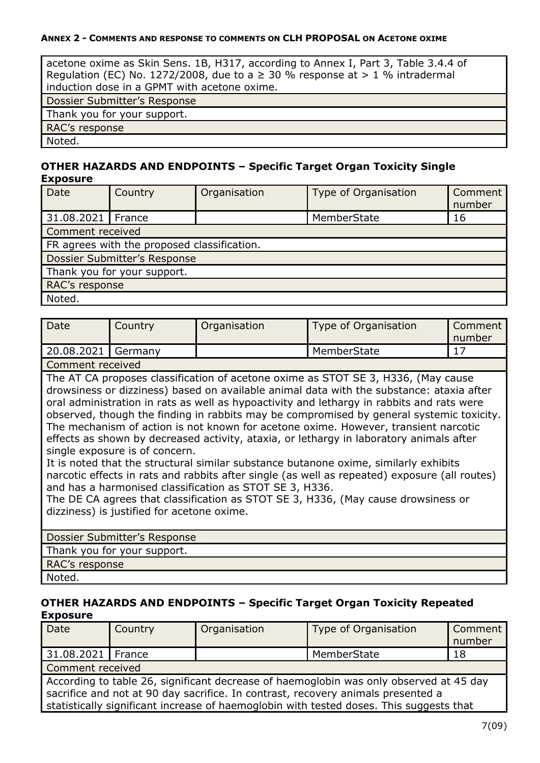acetone oxime as Skin Sens. 1B, H317, according to Annex I, Part 3, Table 3.4.4 of Regulation (EC) No. 1272/2008, due to a  $\geq$  30 % response at  $> 1$  % intradermal induction dose in a GPMT with acetone oxime. Dossier Submitter's Response Thank you for your support. RAC's response Noted.

**OTHER HAZARDS AND ENDPOINTS – Specific Target Organ Toxicity Single Evnocure** 

| <u>ндрозигс</u>                             |                              |              |                      |                   |  |  |
|---------------------------------------------|------------------------------|--------------|----------------------|-------------------|--|--|
| Date                                        | Country                      | Organisation | Type of Organisation | Comment<br>number |  |  |
| 31.08.2021   France                         |                              |              | MemberState          | 16                |  |  |
|                                             | Comment received             |              |                      |                   |  |  |
| FR agrees with the proposed classification. |                              |              |                      |                   |  |  |
|                                             | Dossier Submitter's Response |              |                      |                   |  |  |
| Thank you for your support.                 |                              |              |                      |                   |  |  |
| RAC's response                              |                              |              |                      |                   |  |  |
| Noted.                                      |                              |              |                      |                   |  |  |

| Date               | Country | Organisation | Type of Organisation | Comment<br>number |
|--------------------|---------|--------------|----------------------|-------------------|
| 20.08.2021 Germany |         |              | MemberState          |                   |
| Comment received   |         |              |                      |                   |

The AT CA proposes classification of acetone oxime as STOT SE 3, H336, (May cause drowsiness or dizziness) based on available animal data with the substance: ataxia after oral administration in rats as well as hypoactivity and lethargy in rabbits and rats were observed, though the finding in rabbits may be compromised by general systemic toxicity. The mechanism of action is not known for acetone oxime. However, transient narcotic effects as shown by decreased activity, ataxia, or lethargy in laboratory animals after single exposure is of concern.

It is noted that the structural similar substance butanone oxime, similarly exhibits narcotic effects in rats and rabbits after single (as well as repeated) exposure (all routes) and has a harmonised classification as STOT SE 3, H336.

The DE CA agrees that classification as STOT SE 3, H336, (May cause drowsiness or dizziness) is justified for acetone oxime.

| Dossier Submitter's Response |
|------------------------------|
| Thank you for your support.  |
| RAC's response               |
| Noted.                       |

#### **OTHER HAZARDS AND ENDPOINTS – Specific Target Organ Toxicity Repeated Exposure**

| Date                | Country                                                                                                                     | Organisation | Type of Organisation | Comment<br>number |  |
|---------------------|-----------------------------------------------------------------------------------------------------------------------------|--------------|----------------------|-------------------|--|
| 31.08.2021   France |                                                                                                                             |              | MemberState          | 18                |  |
| Comment received    |                                                                                                                             |              |                      |                   |  |
|                     | A coordinate to take $\cap$ $\cap$ at a triangle can decrease of the case of the case of a triangle stress of $\cap$ denote |              |                      |                   |  |

According to table 26, significant decrease of haemoglobin was only observed at 45 day sacrifice and not at 90 day sacrifice. In contrast, recovery animals presented a statistically significant increase of haemoglobin with tested doses. This suggests that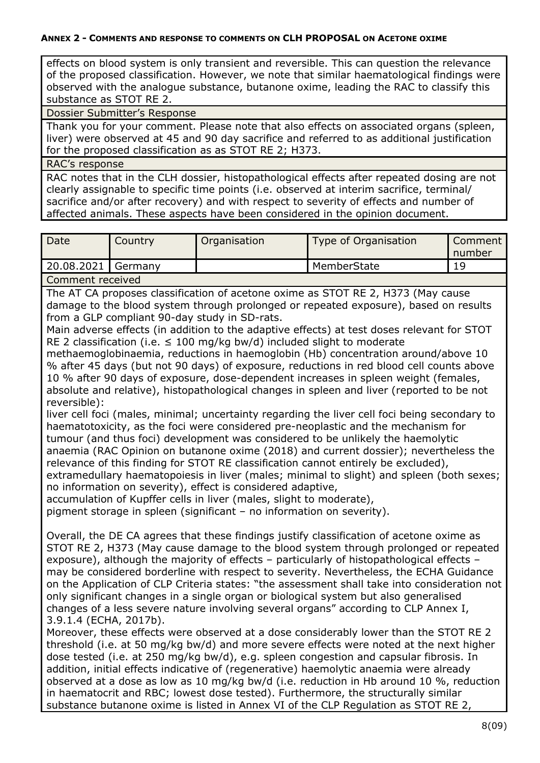effects on blood system is only transient and reversible. This can question the relevance of the proposed classification. However, we note that similar haematological findings were observed with the analogue substance, butanone oxime, leading the RAC to classify this substance as STOT RE 2.

Dossier Submitter's Response

Thank you for your comment. Please note that also effects on associated organs (spleen, liver) were observed at 45 and 90 day sacrifice and referred to as additional justification for the proposed classification as as STOT RE 2; H373.

RAC's response

RAC notes that in the CLH dossier, histopathological effects after repeated dosing are not clearly assignable to specific time points (i.e. observed at interim sacrifice, terminal/ sacrifice and/or after recovery) and with respect to severity of effects and number of affected animals. These aspects have been considered in the opinion document.

| Date             | Country | Organisation | Type of Organisation | Comment<br>number |  |
|------------------|---------|--------------|----------------------|-------------------|--|
| 20.08.2021       | Germany |              | MemberState          | 19                |  |
| Comment received |         |              |                      |                   |  |

The AT CA proposes classification of acetone oxime as STOT RE 2, H373 (May cause damage to the blood system through prolonged or repeated exposure), based on results from a GLP compliant 90-day study in SD-rats.

Main adverse effects (in addition to the adaptive effects) at test doses relevant for STOT RE 2 classification (i.e.  $\leq$  100 mg/kg bw/d) included slight to moderate

methaemoglobinaemia, reductions in haemoglobin (Hb) concentration around/above 10 % after 45 days (but not 90 days) of exposure, reductions in red blood cell counts above 10 % after 90 days of exposure, dose-dependent increases in spleen weight (females, absolute and relative), histopathological changes in spleen and liver (reported to be not reversible):

liver cell foci (males, minimal; uncertainty regarding the liver cell foci being secondary to haematotoxicity, as the foci were considered pre-neoplastic and the mechanism for tumour (and thus foci) development was considered to be unlikely the haemolytic anaemia (RAC Opinion on butanone oxime (2018) and current dossier); nevertheless the relevance of this finding for STOT RE classification cannot entirely be excluded), extramedullary haematopoiesis in liver (males; minimal to slight) and spleen (both sexes;

no information on severity), effect is considered adaptive,

accumulation of Kupffer cells in liver (males, slight to moderate),

pigment storage in spleen (significant – no information on severity).

Overall, the DE CA agrees that these findings justify classification of acetone oxime as STOT RE 2, H373 (May cause damage to the blood system through prolonged or repeated exposure), although the majority of effects – particularly of histopathological effects – may be considered borderline with respect to severity. Nevertheless, the ECHA Guidance on the Application of CLP Criteria states: "the assessment shall take into consideration not only significant changes in a single organ or biological system but also generalised changes of a less severe nature involving several organs" according to CLP Annex I, 3.9.1.4 (ECHA, 2017b).

Moreover, these effects were observed at a dose considerably lower than the STOT RE 2 threshold (i.e. at 50 mg/kg bw/d) and more severe effects were noted at the next higher dose tested (i.e. at 250 mg/kg bw/d), e.g. spleen congestion and capsular fibrosis. In addition, initial effects indicative of (regenerative) haemolytic anaemia were already observed at a dose as low as 10 mg/kg bw/d (i.e. reduction in Hb around 10 %, reduction in haematocrit and RBC; lowest dose tested). Furthermore, the structurally similar substance butanone oxime is listed in Annex VI of the CLP Regulation as STOT RE 2,